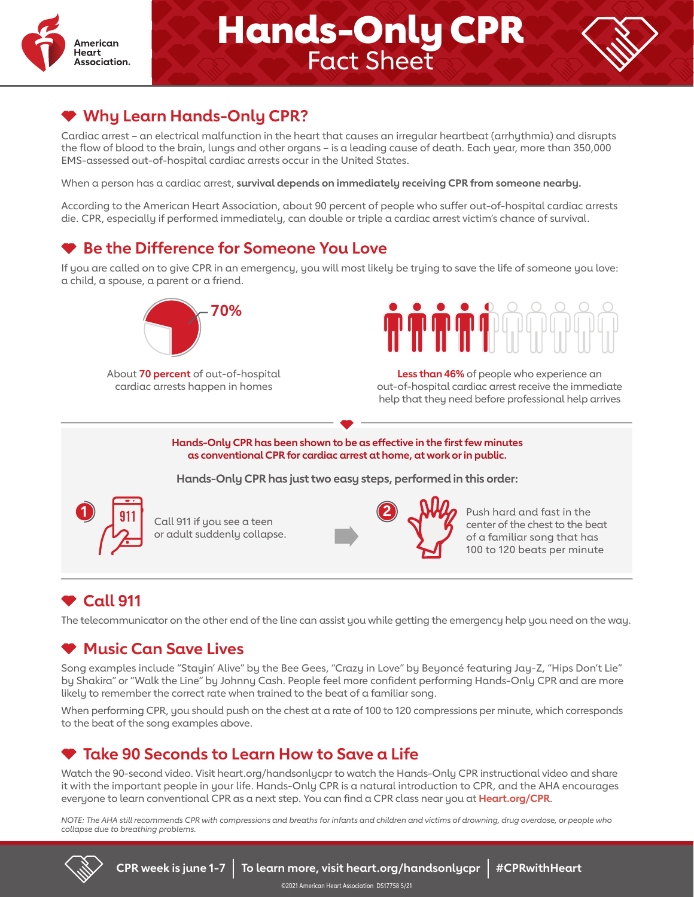

# **Hands-Only CPR**<br>Fact Sheet



### **Why Learn Hands-Only CPR?**

Cardiac arrest – an electrical malfunction in the heart that causes an irregular heartbeat (arrhythmia) and disrupts the flow of blood to the brain, lungs and other organs – is a leading cause of death. Each year, more than 350,000 EMS-assessed out-of-hospital cardiac arrests occur in the United States.

When a person has a cardiac arrest, **survival depends on immediately receiving CPR from someone nearby.**

According to the American Heart Association, about 90 percent of people who suffer out-of-hospital cardiac arrests die. CPR, especially if performed immediately, can double or triple a cardiac arrest victim's chance of survival.

### **Be the Difference for Someone You Love**

If you are called on to give CPR in an emergency, you will most likely be trying to save the life of someone you love: a child, a spouse, a parent or a friend.



About **70 percent** of out-of-hospital cardiac arrests happen in homes



**Less than 46%** of people who experience an out-of-hospital cardiac arrest receive the immediate help that they need before professional help arrives

**Hands-Only CPR has been shown to be as effective in the first few minutes as conventional CPR for cardiac arrest at home, at work or in public.**

**Hands-Only CPR has just two easy steps, performed in this order:**



Call 911 if you see a teen or adult suddenly collapse.



**2** Push hard and fast in the center of the chest to the beat of a familiar song that has 100 to 120 beats per minute

### **Call 911**

The telecommunicator on the other end of the line can assist you while getting the emergency help you need on the way.

#### **Music Can Save Lives**

Song examples include "Stayin' Alive" by the Bee Gees, "Crazy in Love" by Beyoncé featuring Jay-Z, "Hips Don't Lie" by Shakira" or "Walk the Line" by Johnny Cash. People feel more confident performing Hands-Only CPR and are more likely to remember the correct rate when trained to the beat of a familiar song.

When performing CPR, you should push on the chest at a rate of 100 to 120 compressions per minute, which corresponds to the beat of the song examples above.

### **Take 90 Seconds to Learn How to Save a Life**

Watch the 90-second video. Visit heart.org/handsonlycpr to watch the Hands-Only CPR instructional video and share it with the important people in your life. Hands-Only CPR is a natural introduction to CPR, and the AHA encourages everyone to learn conventional CPR as a next step. You can find a CPR class near you at **Heart.org/CPR**.

*NOTE: The AHA still recommends CPR with compressions and breaths for infants and children and victims of drowning, drug overdose, or people who collapse due to breathing problems.*